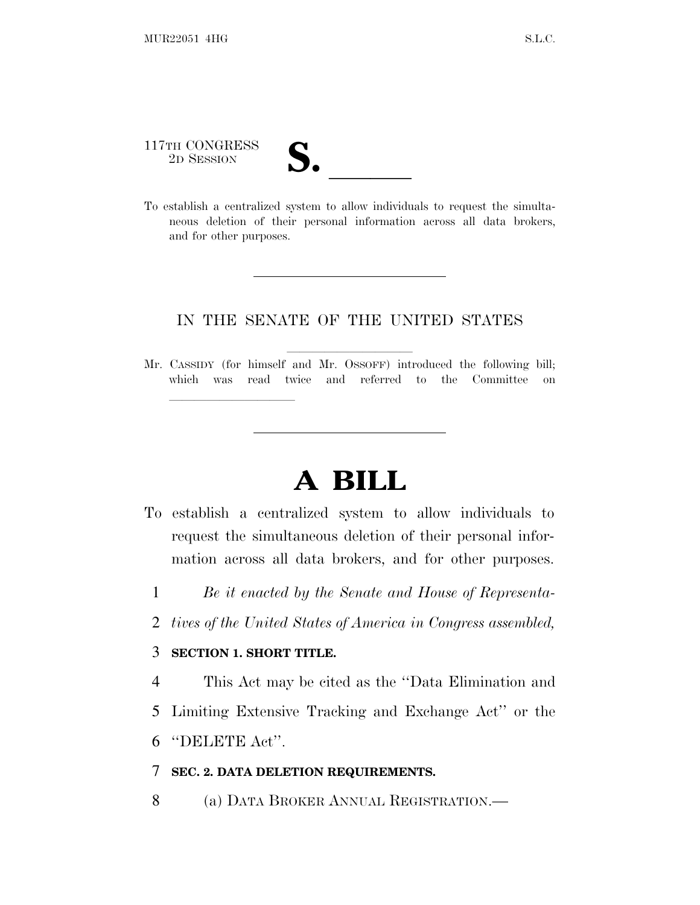| 117TH CONGRESS<br>2D SESSION | IJ.                                                                            |
|------------------------------|--------------------------------------------------------------------------------|
|                              | To establish a centralized system to allow individuals to request the simulta- |

neous deletion of their personal information across all data brokers, and for other purposes.

## IN THE SENATE OF THE UNITED STATES

Mr. CASSIDY (for himself and Mr. OSSOFF) introduced the following bill; which was read twice and referred to the Committee on

## **A BILL**

- To establish a centralized system to allow individuals to request the simultaneous deletion of their personal information across all data brokers, and for other purposes.
	- 1 *Be it enacted by the Senate and House of Representa-*
	- 2 *tives of the United States of America in Congress assembled,*

## 3 **SECTION 1. SHORT TITLE.**

lland and a state of the state of the state of the state of the state of the state of the state of the state o

4 This Act may be cited as the ''Data Elimination and 5 Limiting Extensive Tracking and Exchange Act'' or the

6 ''DELETE Act''.

## 7 **SEC. 2. DATA DELETION REQUIREMENTS.**

8 (a) DATA BROKER ANNUAL REGISTRATION.—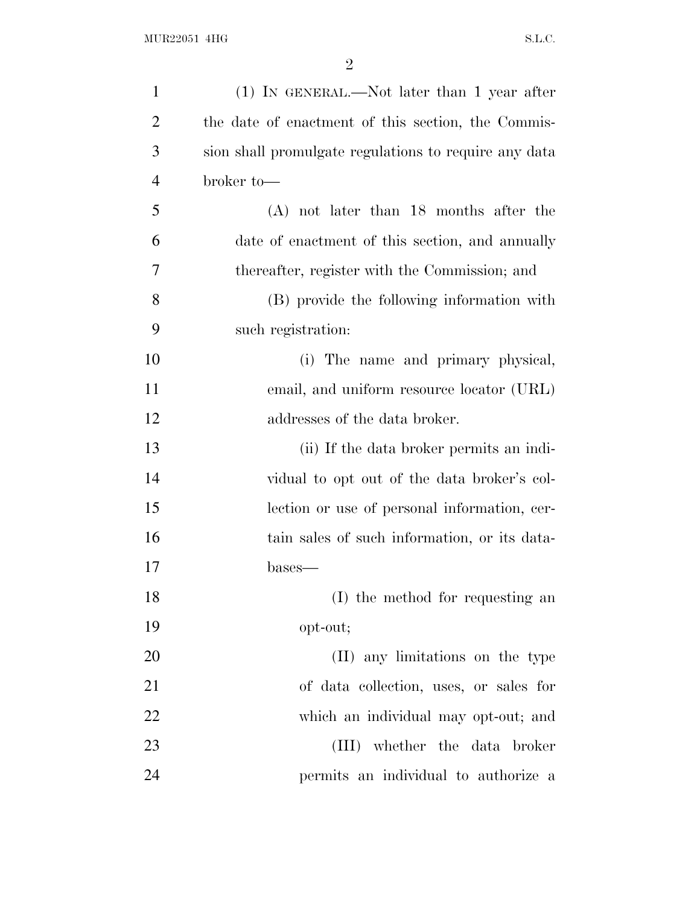| $\mathbf{1}$   | $(1)$ IN GENERAL.—Not later than 1 year after         |
|----------------|-------------------------------------------------------|
| $\overline{2}$ | the date of enactment of this section, the Commis-    |
| 3              | sion shall promulgate regulations to require any data |
| $\overline{4}$ | broker to-                                            |
| 5              | $(A)$ not later than 18 months after the              |
| 6              | date of enactment of this section, and annually       |
| 7              | thereafter, register with the Commission; and         |
| 8              | (B) provide the following information with            |
| 9              | such registration:                                    |
| 10             | (i) The name and primary physical,                    |
| 11             | email, and uniform resource locator (URL)             |
| 12             | addresses of the data broker.                         |
| 13             | (ii) If the data broker permits an indi-              |
| 14             | vidual to opt out of the data broker's col-           |
| 15             | lection or use of personal information, cer-          |
| 16             | tain sales of such information, or its data-          |
| 17             | bases—                                                |
| 18             | (I) the method for requesting an                      |
| 19             | opt-out;                                              |
| 20             | (II) any limitations on the type                      |
| 21             | of data collection, uses, or sales for                |
| 22             | which an individual may opt-out; and                  |
| 23             | (III) whether the data broker                         |
| 24             | permits an individual to authorize a                  |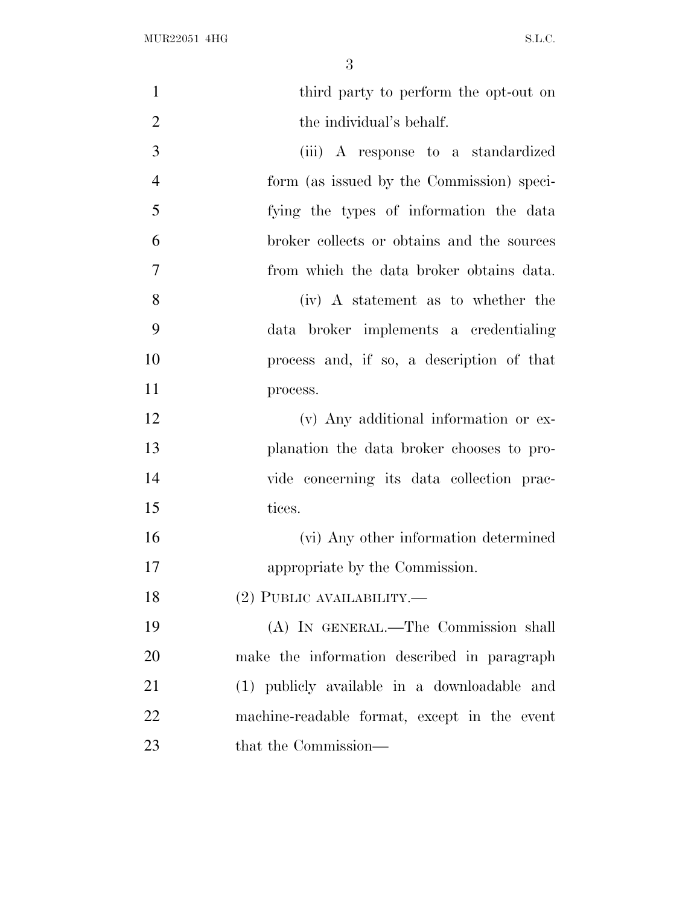| $\mathbf{1}$   | third party to perform the opt-out on        |
|----------------|----------------------------------------------|
| $\overline{2}$ | the individual's behalf.                     |
| 3              | (iii) A response to a standardized           |
| $\overline{4}$ | form (as issued by the Commission) speci-    |
| 5              | fying the types of information the data      |
| 6              | broker collects or obtains and the sources   |
| $\overline{7}$ | from which the data broker obtains data.     |
| 8              | (iv) A statement as to whether the           |
| 9              | data broker implements a credentialing       |
| 10             | process and, if so, a description of that    |
| 11             | process.                                     |
| 12             | (v) Any additional information or ex-        |
| 13             | planation the data broker chooses to pro-    |
| 14             | vide concerning its data collection prac-    |
| 15             | tices.                                       |
| 16             | (vi) Any other information determined        |
| 17             | appropriate by the Commission.               |
| 18             | (2) PUBLIC AVAILABILITY.—                    |
| 19             | (A) IN GENERAL.—The Commission shall         |
| 20             | make the information described in paragraph  |
| 21             | (1) publicly available in a downloadable and |
| 22             | machine-readable format, except in the event |
| 23             | that the Commission—                         |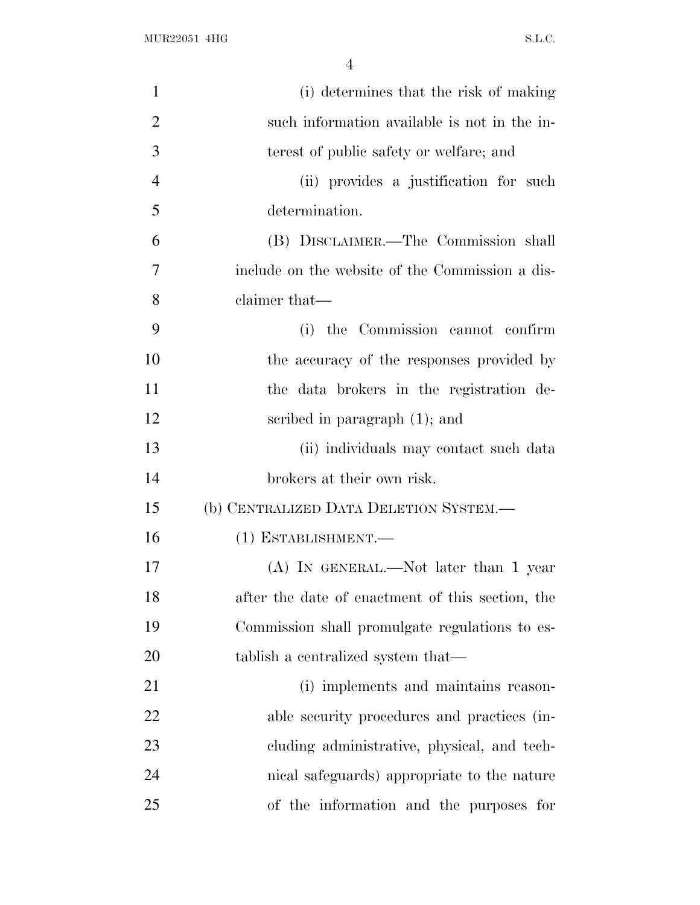| $\mathbf{1}$   | (i) determines that the risk of making           |
|----------------|--------------------------------------------------|
| $\overline{2}$ | such information available is not in the in-     |
| 3              | terest of public safety or welfare; and          |
| 4              | (ii) provides a justification for such           |
| 5              | determination.                                   |
| 6              | (B) DISCLAIMER.—The Commission shall             |
| 7              | include on the website of the Commission a dis-  |
| 8              | claimer that—                                    |
| 9              | (i) the Commission cannot confirm                |
| 10             | the accuracy of the responses provided by        |
| 11             | the data brokers in the registration de-         |
| 12             | scribed in paragraph (1); and                    |
| 13             | (ii) individuals may contact such data           |
| 14             | brokers at their own risk.                       |
| 15             | (b) CENTRALIZED DATA DELETION SYSTEM.—           |
| 16             | (1) ESTABLISHMENT.-                              |
| 17             | $(A)$ In GENERAL.—Not later than 1 year          |
| 18             | after the date of enactment of this section, the |
| 19             | Commission shall promulgate regulations to es-   |
| 20             | tablish a centralized system that—               |
| 21             | (i) implements and maintains reason-             |
| 22             | able security procedures and practices (in-      |
| 23             | cluding administrative, physical, and tech-      |
| 24             | nical safeguards) appropriate to the nature      |
| 25             | of the information and the purposes for          |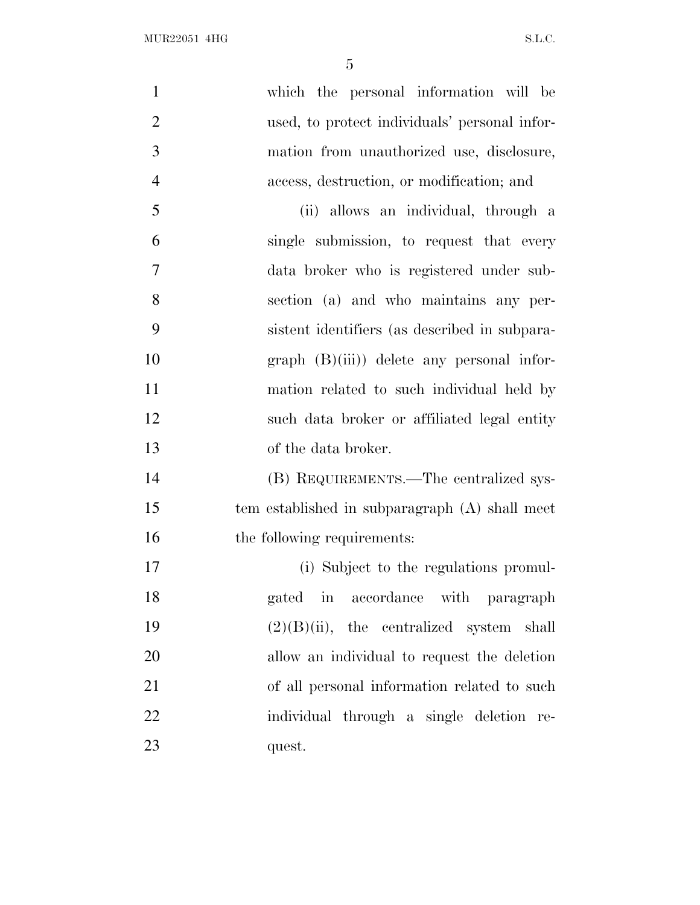| $\mathbf{1}$   | which the personal information will be         |
|----------------|------------------------------------------------|
| $\overline{2}$ | used, to protect individuals' personal infor-  |
| 3              | mation from unauthorized use, disclosure,      |
| $\overline{4}$ | access, destruction, or modification; and      |
| 5              | (ii) allows an individual, through a           |
| 6              | single submission, to request that every       |
| 7              | data broker who is registered under sub-       |
| 8              | section (a) and who maintains any per-         |
| 9              | sistent identifiers (as described in subpara-  |
| 10             | $graph$ $(B)(iii)$ delete any personal infor-  |
| 11             | mation related to such individual held by      |
| 12             | such data broker or affiliated legal entity    |
| 13             | of the data broker.                            |
| 14             | (B) REQUIREMENTS.—The centralized sys-         |
| 15             | tem established in subparagraph (A) shall meet |
| 16             | the following requirements:                    |
| 17             | (i) Subject to the regulations promul-         |
| 18             | gated in accordance with paragraph             |
| 19             | $(2)(B)(ii)$ , the centralized system shall    |
| 20             | allow an individual to request the deletion    |
| 21             | of all personal information related to such    |
| 22             | individual through a single deletion re-       |
| 23             | quest.                                         |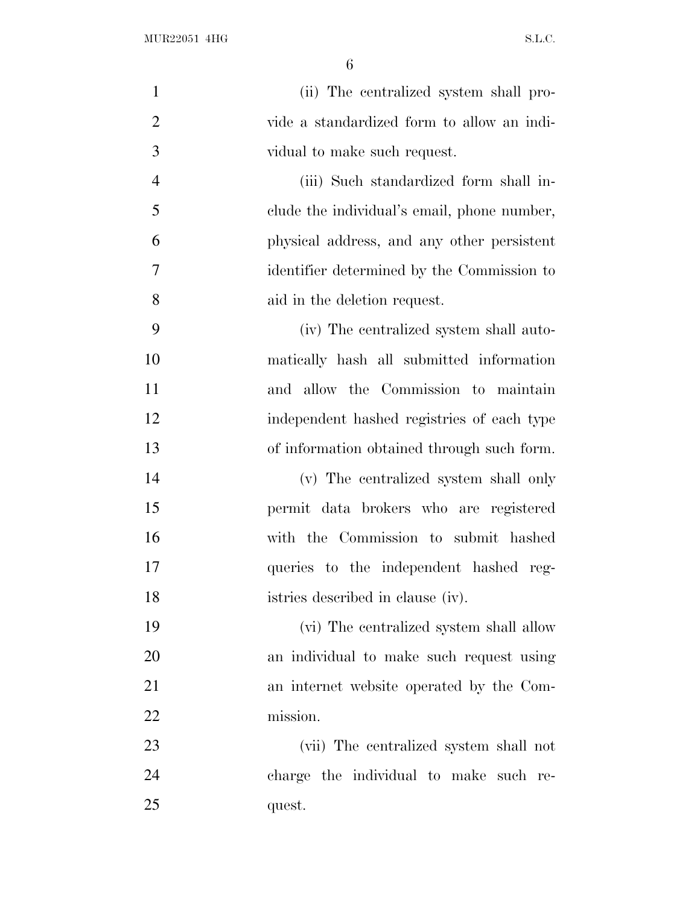| $\mathbf{1}$   | (ii) The centralized system shall pro-      |
|----------------|---------------------------------------------|
| $\overline{2}$ | vide a standardized form to allow an indi-  |
| 3              | vidual to make such request.                |
| $\overline{4}$ | (iii) Such standardized form shall in-      |
| 5              | clude the individual's email, phone number, |
| 6              | physical address, and any other persistent  |
| 7              | identifier determined by the Commission to  |
| 8              | aid in the deletion request.                |
| 9              | (iv) The centralized system shall auto-     |
| 10             | matically hash all submitted information    |
| 11             | and allow the Commission to maintain        |
| 12             | independent hashed registries of each type  |
| 13             | of information obtained through such form.  |
| 14             | (v) The centralized system shall only       |
| 15             | permit data brokers who are registered      |
| 16             | with the Commission to submit hashed        |
| 17             | queries to the independent hashed reg-      |
| 18             | istries described in clause (iv).           |
| 19             | (vi) The centralized system shall allow     |
| 20             | an individual to make such request using    |
| 21             | an internet website operated by the Com-    |
| 22             | mission.                                    |
| 23             | (vii) The centralized system shall not      |
| 24             | charge the individual to make such re-      |
| 25             | quest.                                      |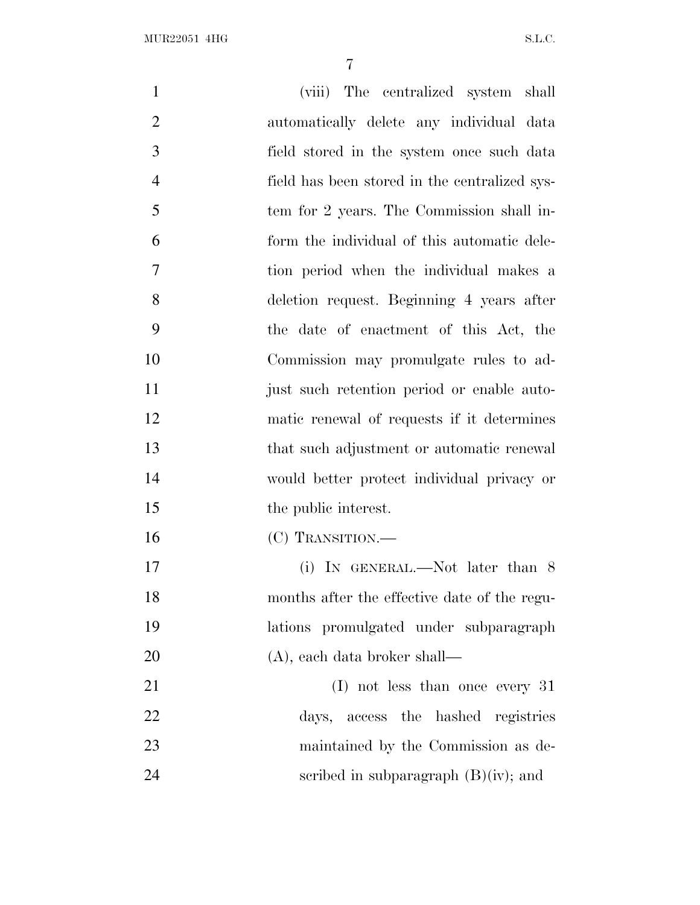| $\mathbf{1}$   | (viii) The centralized system shall           |
|----------------|-----------------------------------------------|
| $\overline{2}$ | automatically delete any individual data      |
| 3              | field stored in the system once such data     |
| $\overline{4}$ | field has been stored in the centralized sys- |
| 5              | tem for 2 years. The Commission shall in-     |
| 6              | form the individual of this automatic dele-   |
| 7              | tion period when the individual makes a       |
| 8              | deletion request. Beginning 4 years after     |
| 9              | the date of enactment of this Act, the        |
| 10             | Commission may promulgate rules to ad-        |
| 11             | just such retention period or enable auto-    |
| 12             | matic renewal of requests if it determines    |
| 13             | that such adjustment or automatic renewal     |
| 14             | would better protect individual privacy or    |
| 15             | the public interest.                          |
| 16             | (C) TRANSITION.—                              |
| 17             | (i) IN GENERAL.—Not later than 8              |
| 18             | months after the effective date of the regu-  |
| 19             | lations promulgated under subparagraph        |
| 20             | $(A)$ , each data broker shall—               |
| 21             | $(I)$ not less than once every 31             |
| 22             | days, access the hashed registries            |
| 23             | maintained by the Commission as de-           |
| 24             | scribed in subparagraph $(B)(iv)$ ; and       |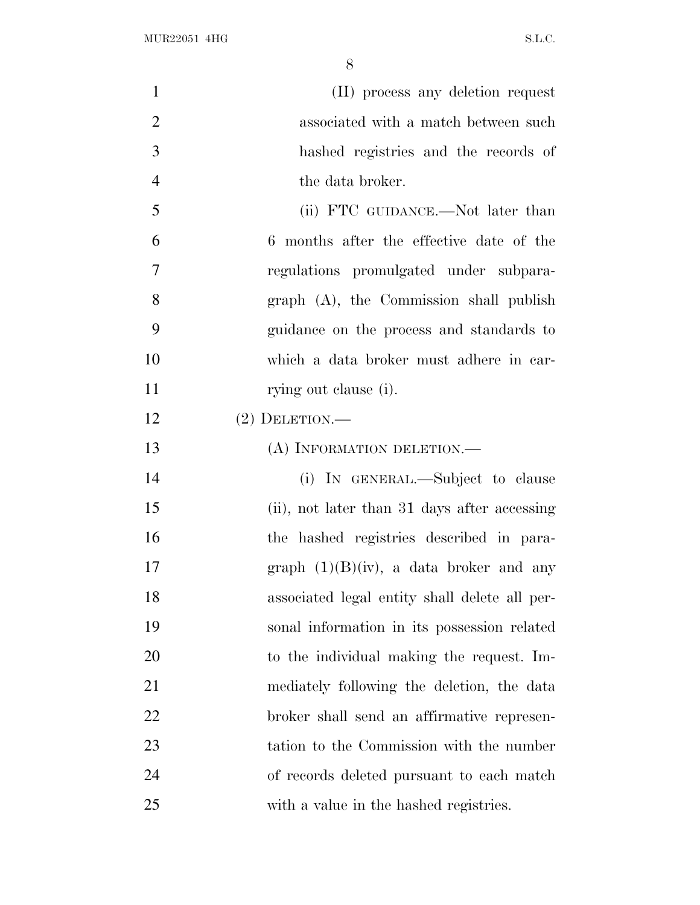| $\mathbf{1}$   | (II) process any deletion request             |
|----------------|-----------------------------------------------|
| $\overline{2}$ | associated with a match between such          |
| 3              | hashed registries and the records of          |
| $\overline{4}$ | the data broker.                              |
| 5              | (ii) FTC GUIDANCE.—Not later than             |
| 6              | 6 months after the effective date of the      |
| 7              | regulations promulgated under subpara-        |
| 8              | graph (A), the Commission shall publish       |
| 9              | guidance on the process and standards to      |
| 10             | which a data broker must adhere in car-       |
| 11             | rying out clause (i).                         |
| 12             | $(2)$ DELETION.—                              |
| 13             | (A) INFORMATION DELETION.                     |
| 14             | (i) IN GENERAL.—Subject to clause             |
| 15             | (ii), not later than 31 days after accessing  |
| 16             | the hashed registries described in para-      |
| 17             | graph $(1)(B)(iv)$ , a data broker and any    |
| 18             | associated legal entity shall delete all per- |
| 19             | sonal information in its possession related   |
| 20             | to the individual making the request. Im-     |
| 21             | mediately following the deletion, the data    |
| 22             | broker shall send an affirmative represen-    |
| 23             | tation to the Commission with the number      |
| 24             | of records deleted pursuant to each match     |
| 25             | with a value in the hashed registries.        |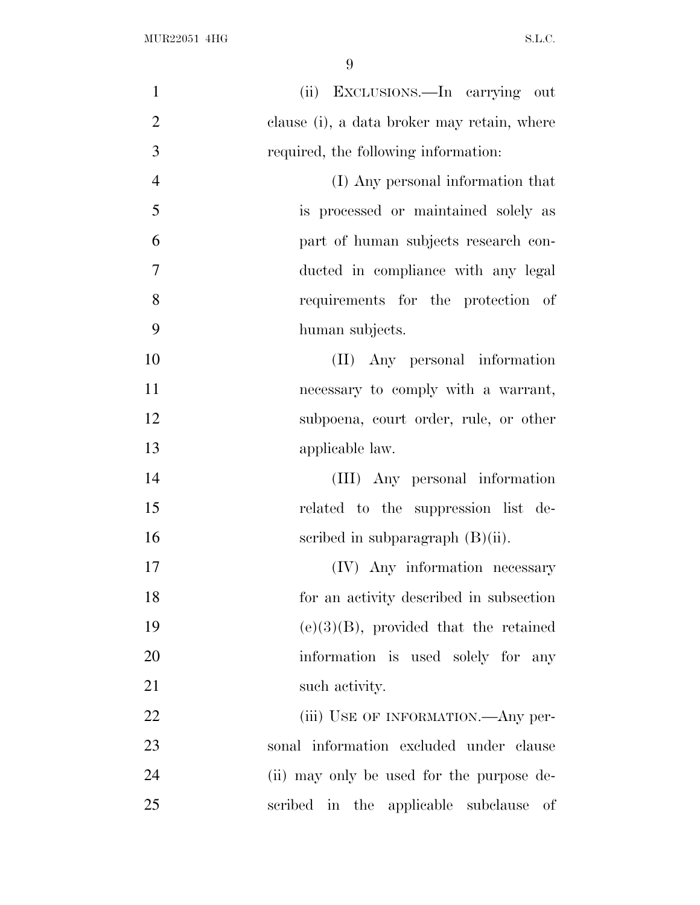| $\mathbf{1}$   | (ii) EXCLUSIONS.—In carrying out            |
|----------------|---------------------------------------------|
| $\overline{2}$ | clause (i), a data broker may retain, where |
| 3              | required, the following information:        |
| $\overline{4}$ | (I) Any personal information that           |
| 5              | is processed or maintained solely as        |
| 6              | part of human subjects research con-        |
| $\overline{7}$ | ducted in compliance with any legal         |
| 8              | requirements for the protection of          |
| 9              | human subjects.                             |
| 10             | (II) Any personal information               |
| 11             | necessary to comply with a warrant,         |
| 12             | subpoena, court order, rule, or other       |
| 13             | applicable law.                             |
| 14             | (III) Any personal information              |
| 15             | related to the suppression list de-         |
| 16             | scribed in subparagraph $(B)(ii)$ .         |
| 17             | (IV) Any information necessary              |
| 18             | for an activity described in subsection     |
| 19             | $(e)(3)(B)$ , provided that the retained    |
| 20             | information is used solely for any          |
| 21             | such activity.                              |
| 22             | (iii) USE OF INFORMATION.—Any per-          |
| 23             | sonal information excluded under clause     |
| 24             | (ii) may only be used for the purpose de-   |
| 25             | scribed in the applicable subclause<br>of   |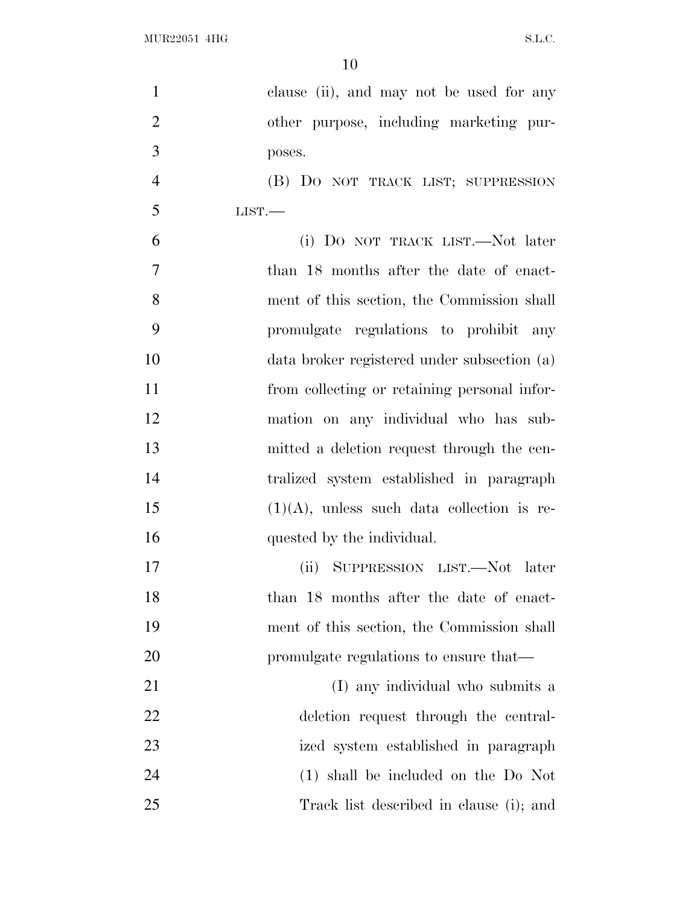| $\mathbf{1}$   | clause (ii), and may not be used for any      |
|----------------|-----------------------------------------------|
| $\overline{2}$ | other purpose, including marketing pur-       |
| 3              | poses.                                        |
| $\overline{4}$ | (B) DO NOT TRACK LIST; SUPPRESSION            |
| 5              | LIST.                                         |
| 6              | (i) DO NOT TRACK LIST.—Not later              |
| 7              | than 18 months after the date of enact-       |
| 8              | ment of this section, the Commission shall    |
| 9              | promulgate regulations to prohibit any        |
| 10             | data broker registered under subsection (a)   |
| 11             | from collecting or retaining personal infor-  |
| 12             | mation on any individual who has sub-         |
| 13             | mitted a deletion request through the cen-    |
| 14             | tralized system established in paragraph      |
| 15             | $(1)(A)$ , unless such data collection is re- |
| 16             | quested by the individual.                    |
| 17             | (ii) SUPPRESSION LIST.—Not later              |
| 18             | than 18 months after the date of enact-       |
| 19             | ment of this section, the Commission shall    |
| 20             | promulgate regulations to ensure that—        |
| 21             | (I) any individual who submits a              |
| 22             | deletion request through the central-         |
| 23             | ized system established in paragraph          |
| 24             | $(1)$ shall be included on the Do Not         |
| 25             | Track list described in clause (i); and       |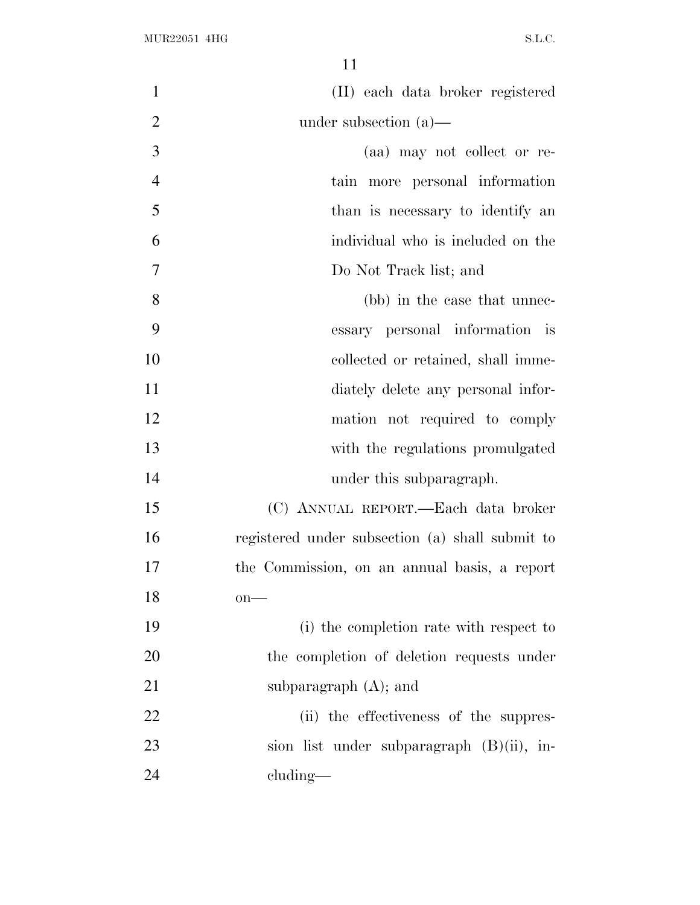| $\mathbf{1}$   | (II) each data broker registered                |
|----------------|-------------------------------------------------|
| $\overline{2}$ | under subsection $(a)$ —                        |
| 3              | (aa) may not collect or re-                     |
| $\overline{4}$ | tain more personal information                  |
| 5              | than is necessary to identify an                |
| 6              | individual who is included on the               |
| 7              | Do Not Track list; and                          |
| 8              | (bb) in the case that unnec-                    |
| 9              | essary personal information is                  |
| 10             | collected or retained, shall imme-              |
| 11             | diately delete any personal infor-              |
| 12             | mation not required to comply                   |
| 13             | with the regulations promulgated                |
| 14             | under this subparagraph.                        |
| 15             | (C) ANNUAL REPORT.—Each data broker             |
| 16             | registered under subsection (a) shall submit to |
| 17             | the Commission, on an annual basis, a report    |
| 18             | $on$ —                                          |
| 19             | (i) the completion rate with respect to         |
| 20             | the completion of deletion requests under       |
| 21             | subparagraph $(A)$ ; and                        |
| 22             | (ii) the effectiveness of the suppres-          |
| 23             | sion list under subparagraph (B)(ii), in-       |
| 24             | cluding—                                        |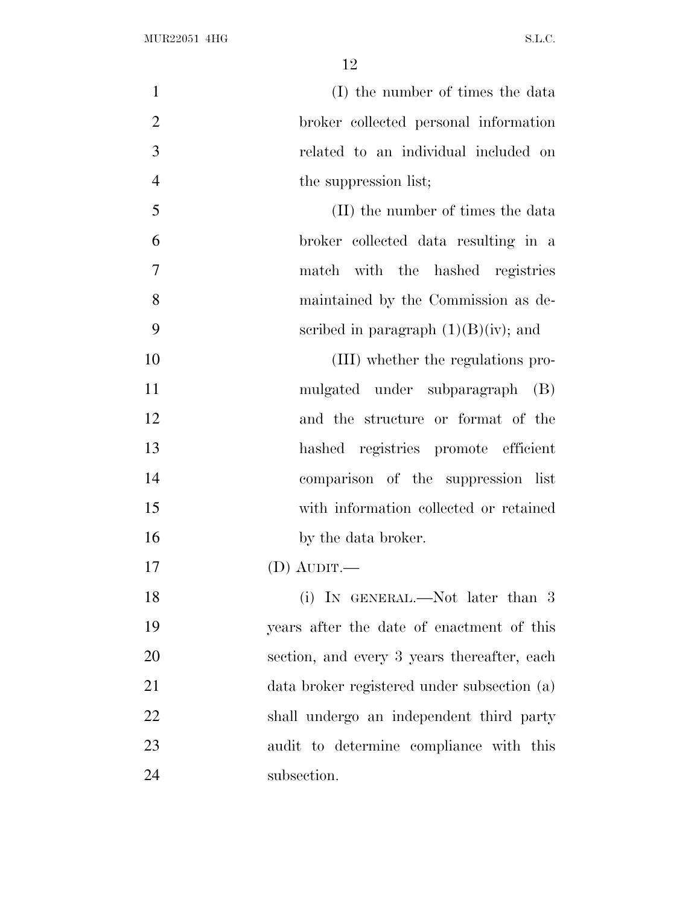| $\mathbf{1}$   | (I) the number of times the data            |
|----------------|---------------------------------------------|
| $\overline{2}$ | broker collected personal information       |
| 3              | related to an individual included on        |
| $\overline{4}$ | the suppression list;                       |
| 5              | (II) the number of times the data           |
| 6              | broker collected data resulting in a        |
| $\overline{7}$ | match with the hashed registries            |
| 8              | maintained by the Commission as de-         |
| 9              | scribed in paragraph $(1)(B)(iv)$ ; and     |
| 10             | (III) whether the regulations pro-          |
| 11             | mulgated under subparagraph (B)             |
| 12             | and the structure or format of the          |
| 13             | hashed registries promote efficient         |
| 14             | comparison of the suppression list          |
| 15             | with information collected or retained      |
| 16             | by the data broker.                         |
| 17             | (D) AUDIT.—                                 |
| 18             | (i) IN GENERAL.—Not later than 3            |
| 19             | years after the date of enactment of this   |
| 20             | section, and every 3 years thereafter, each |
| 21             | data broker registered under subsection (a) |
| 22             | shall undergo an independent third party    |
| 23             | audit to determine compliance with this     |
| 24             | subsection.                                 |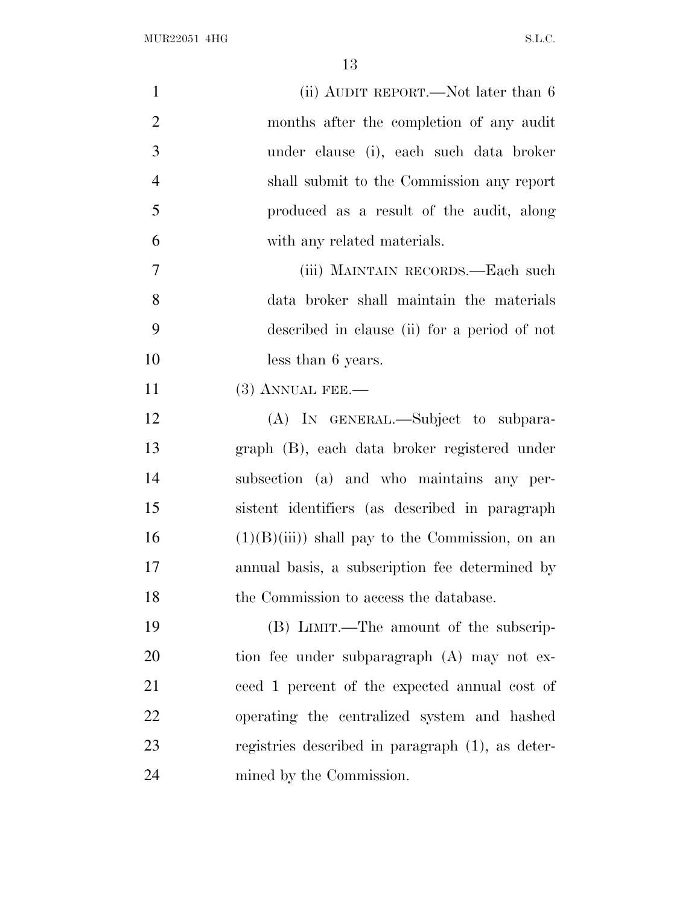| $\mathbf{1}$   | (ii) AUDIT REPORT.—Not later than 6              |
|----------------|--------------------------------------------------|
| $\overline{2}$ | months after the completion of any audit         |
| 3              | under clause (i), each such data broker          |
| $\overline{4}$ | shall submit to the Commission any report        |
| 5              | produced as a result of the audit, along         |
| 6              | with any related materials.                      |
| $\tau$         | (iii) MAINTAIN RECORDS.—Each such                |
| 8              | data broker shall maintain the materials         |
| 9              | described in clause (ii) for a period of not     |
| 10             | less than 6 years.                               |
| 11             | $(3)$ ANNUAL FEE.—                               |
| 12             | (A) IN GENERAL.—Subject to subpara-              |
| 13             | graph (B), each data broker registered under     |
| 14             | subsection (a) and who maintains any per-        |
| 15             | sistent identifiers (as described in paragraph   |
| 16             | $(1)(B)(iii)$ shall pay to the Commission, on an |
| 17             | annual basis, a subscription fee determined by   |
| 18             | the Commission to access the database.           |
| 19             | (B) LIMIT.—The amount of the subscrip-           |
| 20             | tion fee under subparagraph (A) may not ex-      |
| 21             | ceed 1 percent of the expected annual cost of    |
| 22             | operating the centralized system and hashed      |
| 23             | registries described in paragraph (1), as deter- |
| 24             | mined by the Commission.                         |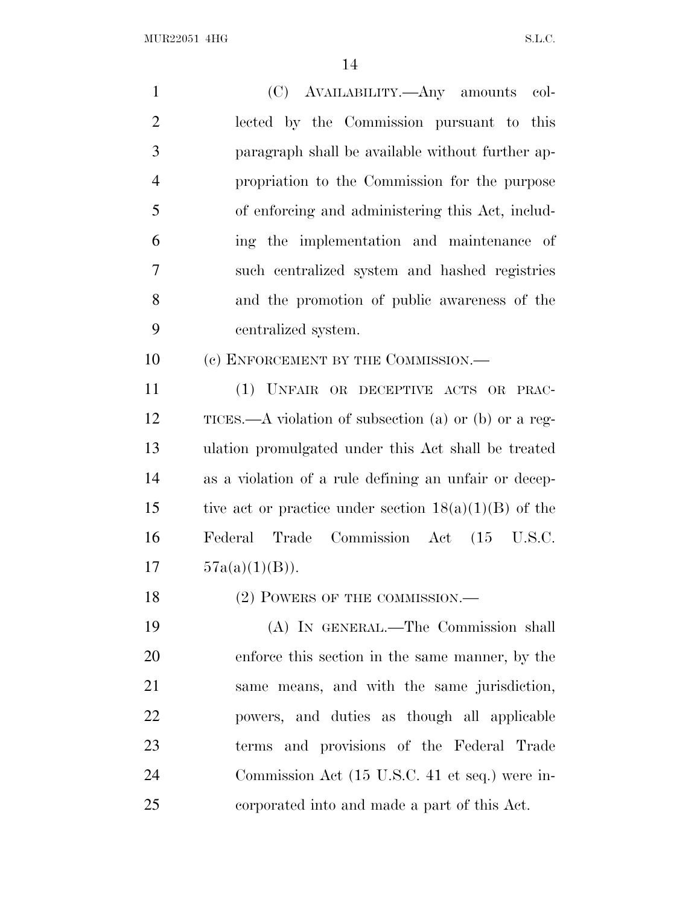| $\mathbf{1}$   | (C) AVAILABILITY.—Any amounts col-                      |
|----------------|---------------------------------------------------------|
| $\overline{2}$ | lected by the Commission pursuant to this               |
| 3              | paragraph shall be available without further ap-        |
| $\overline{4}$ | propriation to the Commission for the purpose           |
| 5              | of enforcing and administering this Act, includ-        |
| 6              | ing the implementation and maintenance of               |
| $\overline{7}$ | such centralized system and hashed registries           |
| 8              | and the promotion of public awareness of the            |
| 9              | centralized system.                                     |
| 10             | (c) ENFORCEMENT BY THE COMMISSION.-                     |
| 11             | (1) UNFAIR OR DECEPTIVE ACTS OR PRAC-                   |
| 12             | TICES.—A violation of subsection (a) or (b) or a reg-   |
| 13             | ulation promulgated under this Act shall be treated     |
| 14             | as a violation of a rule defining an unfair or decep-   |
| 15             | tive act or practice under section $18(a)(1)(B)$ of the |
| 16             | Federal Trade Commission Act (15 U.S.C.                 |
| 17             | $57a(a)(1)(B)$ .                                        |
| 18             | (2) POWERS OF THE COMMISSION.-                          |
| 19             | (A) IN GENERAL.—The Commission shall                    |
| 20             | enforce this section in the same manner, by the         |
| 21             | same means, and with the same jurisdiction,             |
| 22             | powers, and duties as though all applicable             |
| 23             | terms and provisions of the Federal Trade               |
| 24             | Commission Act (15 U.S.C. 41 et seq.) were in-          |
| 25             | corporated into and made a part of this Act.            |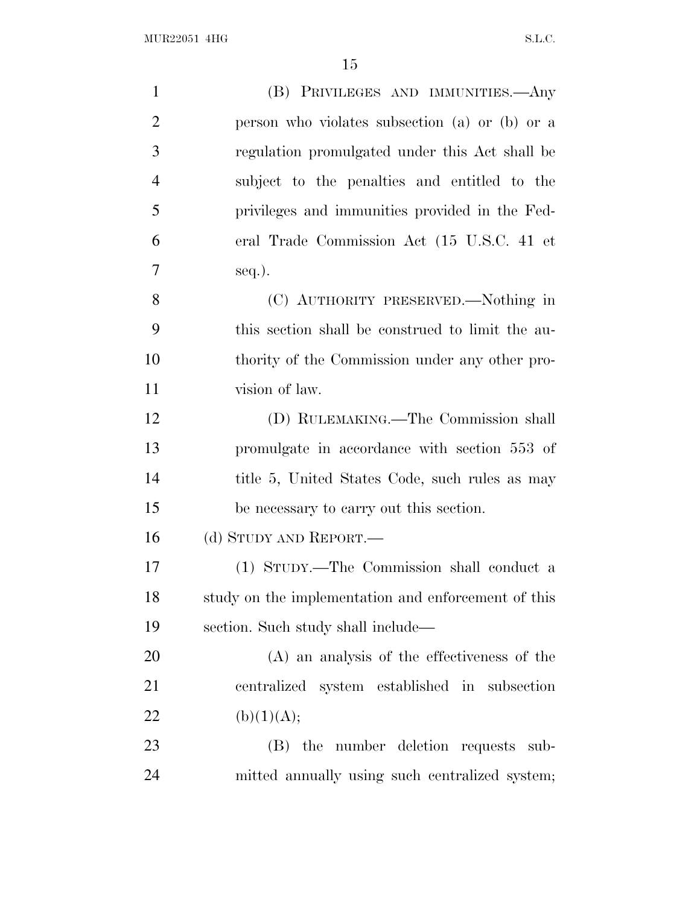| $\mathbf{1}$   | (B) PRIVILEGES AND IMMUNITIES.—Any                  |
|----------------|-----------------------------------------------------|
| $\overline{2}$ | person who violates subsection (a) or (b) or a      |
| 3              | regulation promulgated under this Act shall be      |
| $\overline{4}$ | subject to the penalties and entitled to the        |
| 5              | privileges and immunities provided in the Fed-      |
| 6              | eral Trade Commission Act (15 U.S.C. 41 et          |
| 7              | $seq.$ ).                                           |
| 8              | (C) AUTHORITY PRESERVED.—Nothing in                 |
| 9              | this section shall be construed to limit the au-    |
| 10             | thority of the Commission under any other pro-      |
| 11             | vision of law.                                      |
| 12             | (D) RULEMAKING.—The Commission shall                |
| 13             | promulgate in accordance with section 553 of        |
| 14             | title 5, United States Code, such rules as may      |
| 15             | be necessary to carry out this section.             |
| 16             | (d) STUDY AND REPORT.—                              |
| 17             | (1) STUDY.—The Commission shall conduct a           |
| 18             | study on the implementation and enforcement of this |
| 19             | section. Such study shall include—                  |
| 20             | (A) an analysis of the effectiveness of the         |
| 21             | centralized system established in subsection        |
| 22             | (b)(1)(A);                                          |
| 23             | the number deletion requests sub-<br>(B)            |
| 24             | mitted annually using such centralized system;      |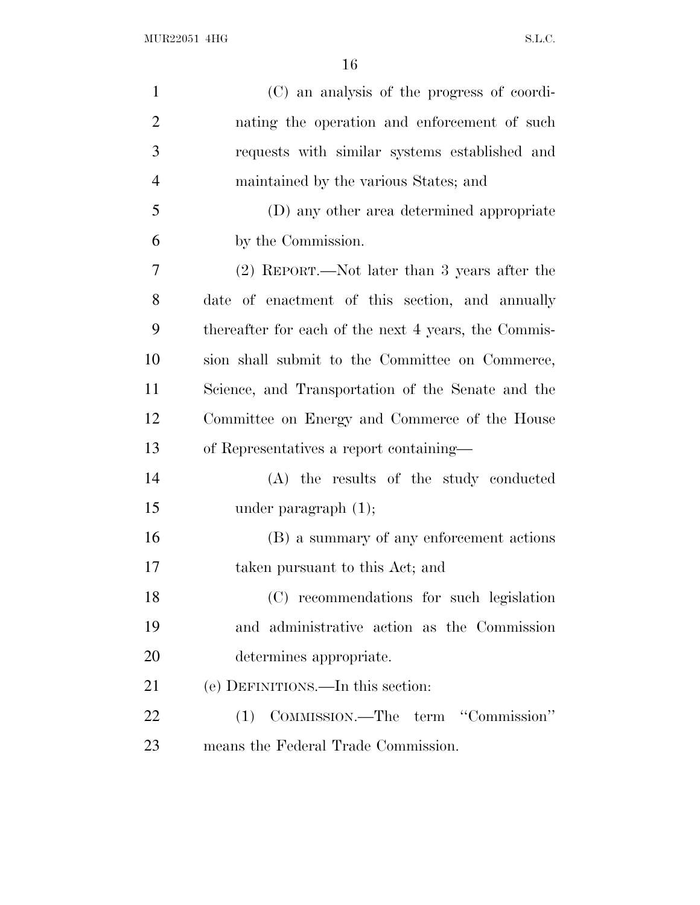$\rm MUR22051\ 4HG \qquad \qquad S.L.C.$ 

| $\mathbf{1}$   | (C) an analysis of the progress of coordi-           |
|----------------|------------------------------------------------------|
| $\overline{2}$ | nating the operation and enforcement of such         |
| 3              | requests with similar systems established and        |
| $\overline{4}$ | maintained by the various States; and                |
| 5              | (D) any other area determined appropriate            |
| 6              | by the Commission.                                   |
| 7              | $(2)$ REPORT.—Not later than 3 years after the       |
| 8              | date of enactment of this section, and annually      |
| 9              | thereafter for each of the next 4 years, the Commis- |
| 10             | sion shall submit to the Committee on Commerce,      |
| 11             | Science, and Transportation of the Senate and the    |
| 12             | Committee on Energy and Commerce of the House        |
| 13             | of Representatives a report containing—              |
| 14             | (A) the results of the study conducted               |
| 15             | under paragraph $(1)$ ;                              |
| 16             | (B) a summary of any enforcement actions             |
| 17             | taken pursuant to this Act; and                      |
| 18             | (C) recommendations for such legislation             |
| 19             | and administrative action as the Commission          |
| 20             | determines appropriate.                              |
| 21             | (e) DEFINITIONS.—In this section:                    |
| 22             | COMMISSION.—The term "Commission"<br>(1)             |
| 23             | means the Federal Trade Commission.                  |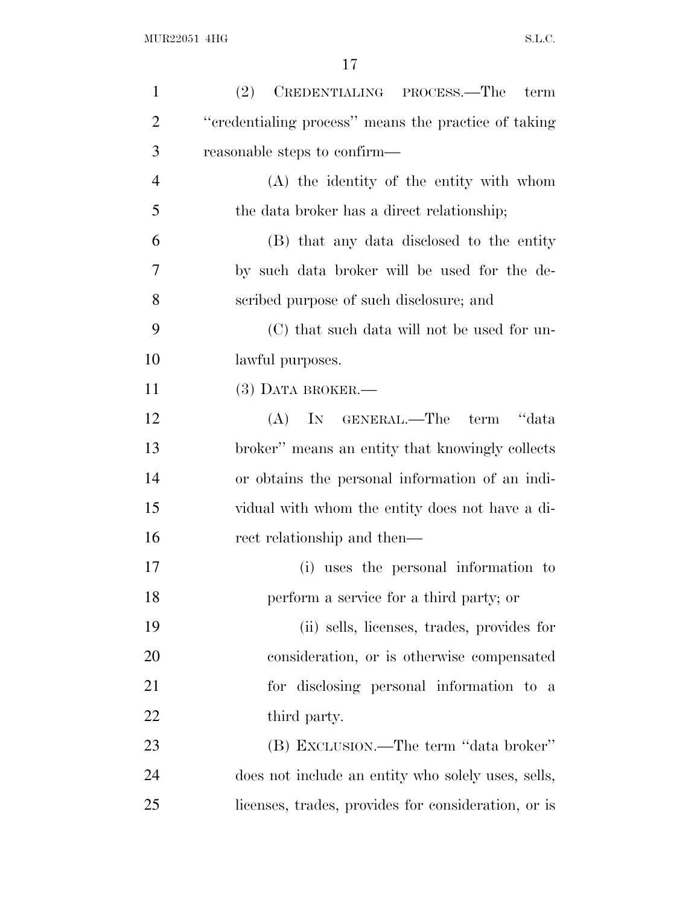| $\mathbf{1}$   | ${\bf CREDENTIALING\quad \, PROCESS.} {\bf - The}$<br>(2)<br>term |
|----------------|-------------------------------------------------------------------|
| $\overline{2}$ | "credentialing process" means the practice of taking              |
| 3              | reasonable steps to confirm—                                      |
| $\overline{4}$ | (A) the identity of the entity with whom                          |
| 5              | the data broker has a direct relationship;                        |
| 6              | (B) that any data disclosed to the entity                         |
| 7              | by such data broker will be used for the de-                      |
| 8              | scribed purpose of such disclosure; and                           |
| 9              | (C) that such data will not be used for un-                       |
| 10             | lawful purposes.                                                  |
| 11             | $(3)$ DATA BROKER.—                                               |
| 12             | IN GENERAL.—The<br>term "data<br>(A)                              |
| 13             | broker" means an entity that knowingly collects                   |
| 14             | or obtains the personal information of an indi-                   |
| 15             | vidual with whom the entity does not have a di-                   |
| 16             | rect relationship and then—                                       |
| 17             | (i) uses the personal information to                              |
| 18             | perform a service for a third party; or                           |
| 19             | (ii) sells, licenses, trades, provides for                        |
| 20             | consideration, or is otherwise compensated                        |
| 21             | for disclosing personal information to a                          |
| 22             | third party.                                                      |
| 23             | (B) EXCLUSION.—The term "data broker"                             |
| 24             | does not include an entity who solely uses, sells,                |
| 25             | licenses, trades, provides for consideration, or is               |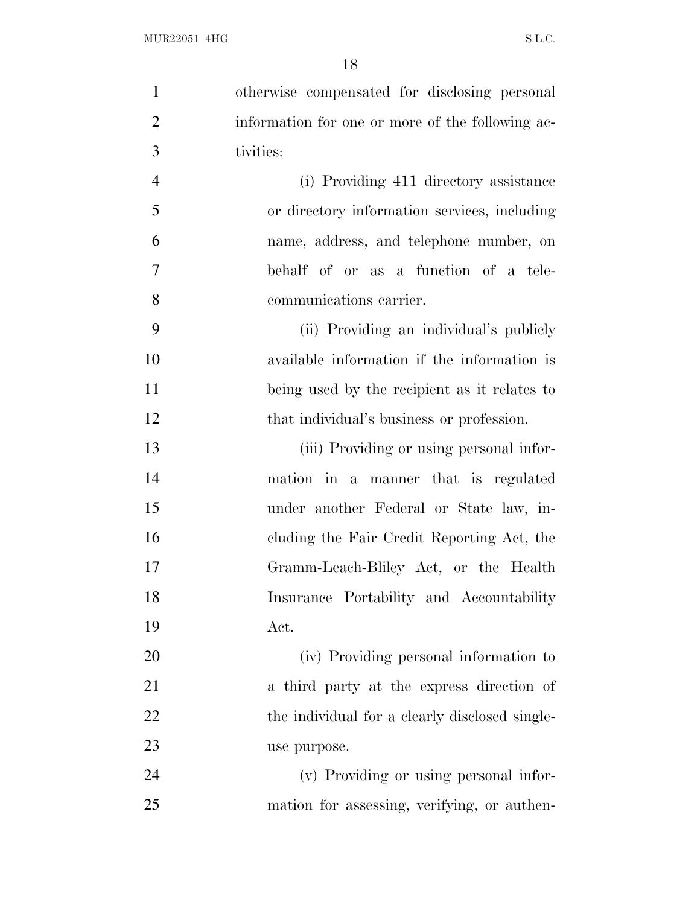| $\mathbf{1}$   | otherwise compensated for disclosing personal    |
|----------------|--------------------------------------------------|
| $\overline{2}$ | information for one or more of the following ac- |
| 3              | tivities:                                        |
| $\overline{4}$ | (i) Providing 411 directory assistance           |
| 5              | or directory information services, including     |
| 6              | name, address, and telephone number, on          |
| $\overline{7}$ | behalf of or as a function of a tele-            |
| 8              | communications carrier.                          |
| 9              | (ii) Providing an individual's publicly          |
| 10             | available information if the information is      |
| 11             | being used by the recipient as it relates to     |
| 12             | that individual's business or profession.        |
| 13             | (iii) Providing or using personal infor-         |
| 14             | mation in a manner that is regulated             |
| 15             | under another Federal or State law, in-          |
| 16             | cluding the Fair Credit Reporting Act, the       |
| 17             | Gramm-Leach-Bliley Act, or the Health            |
| 18             | Insurance Portability and Accountability         |
| 19             | Act.                                             |
| 20             | (iv) Providing personal information to           |
| 21             | a third party at the express direction of        |
| 22             | the individual for a clearly disclosed single-   |
| 23             | use purpose.                                     |
| 24             | (v) Providing or using personal infor-           |
| 25             | mation for assessing, verifying, or authen-      |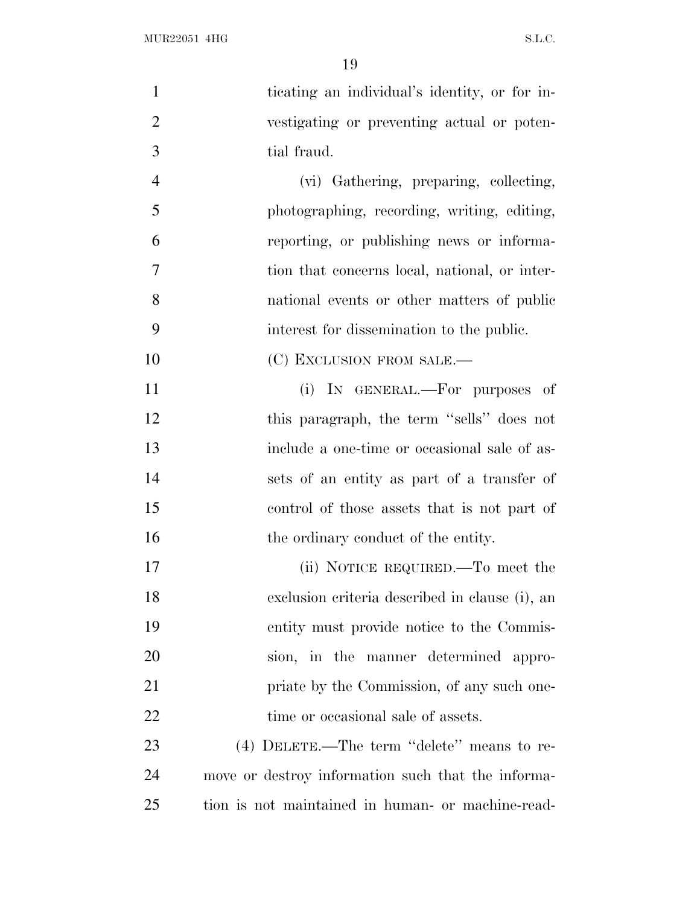| $\mathbf{1}$   | ticating an individual's identity, or for in-      |
|----------------|----------------------------------------------------|
| $\overline{2}$ | vestigating or preventing actual or poten-         |
| 3              | tial fraud.                                        |
| $\overline{4}$ | (vi) Gathering, preparing, collecting,             |
| 5              | photographing, recording, writing, editing,        |
| 6              | reporting, or publishing news or informa-          |
| 7              | tion that concerns local, national, or inter-      |
| 8              | national events or other matters of public         |
| 9              | interest for dissemination to the public.          |
| 10             | (C) EXCLUSION FROM SALE.—                          |
| 11             | (i) IN GENERAL.—For purposes of                    |
| 12             | this paragraph, the term "sells" does not          |
| 13             | include a one-time or occasional sale of as-       |
| 14             | sets of an entity as part of a transfer of         |
| 15             | control of those assets that is not part of        |
| 16             | the ordinary conduct of the entity.                |
| 17             | (ii) NOTICE REQUIRED.—To meet the                  |
| 18             | exclusion criteria described in clause (i), an     |
| 19             | entity must provide notice to the Commis-          |
| 20             | sion, in the manner determined appro-              |
| 21             | priate by the Commission, of any such one-         |
| 22             | time or occasional sale of assets.                 |
| 23             | $(4)$ DELETE.—The term "delete" means to re-       |
| 24             | move or destroy information such that the informa- |
| 25             | tion is not maintained in human- or machine-read-  |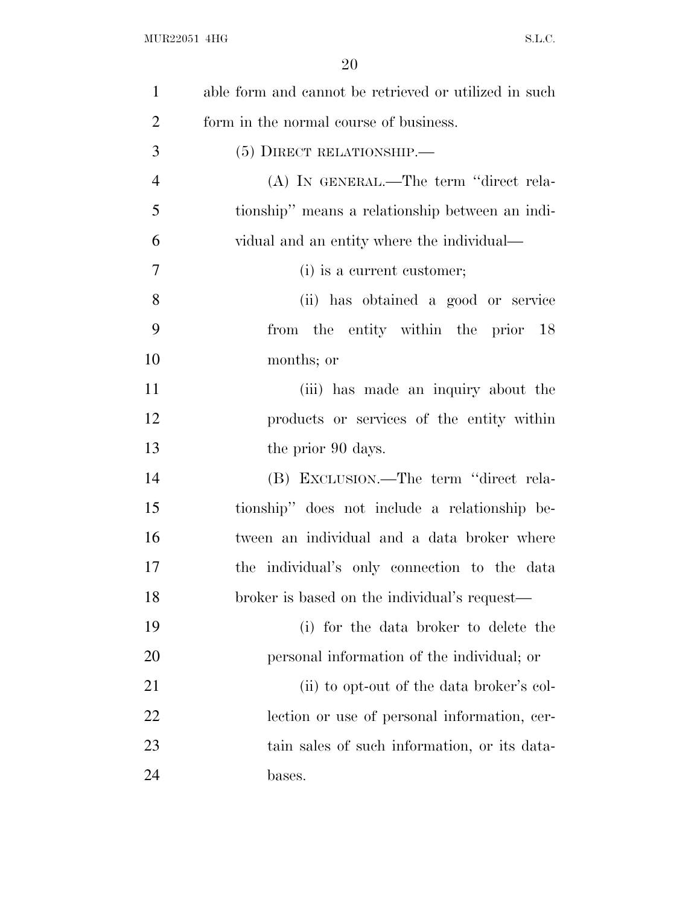| $\mathbf{1}$   | able form and cannot be retrieved or utilized in such |
|----------------|-------------------------------------------------------|
| $\overline{2}$ | form in the normal course of business.                |
| 3              | $(5)$ DIRECT RELATIONSHIP.—                           |
| $\overline{4}$ | (A) IN GENERAL.—The term "direct rela-                |
| 5              | tionship" means a relationship between an indi-       |
| 6              | vidual and an entity where the individual—            |
| $\tau$         | (i) is a current customer;                            |
| 8              | (ii) has obtained a good or service                   |
| 9              | from the entity within the prior 18                   |
| 10             | months; or                                            |
| 11             | (iii) has made an inquiry about the                   |
| 12             | products or services of the entity within             |
| 13             | the prior 90 days.                                    |
| 14             | (B) EXCLUSION.—The term "direct rela-                 |
| 15             | tionship" does not include a relationship be-         |
| 16             | tween an individual and a data broker where           |
| 17             | the individual's only connection to the data          |
| 18             | broker is based on the individual's request—          |
| 19             | (i) for the data broker to delete the                 |
| 20             | personal information of the individual; or            |
| 21             | (ii) to opt-out of the data broker's col-             |
| 22             | lection or use of personal information, cer-          |
| 23             | tain sales of such information, or its data-          |
| 24             | bases.                                                |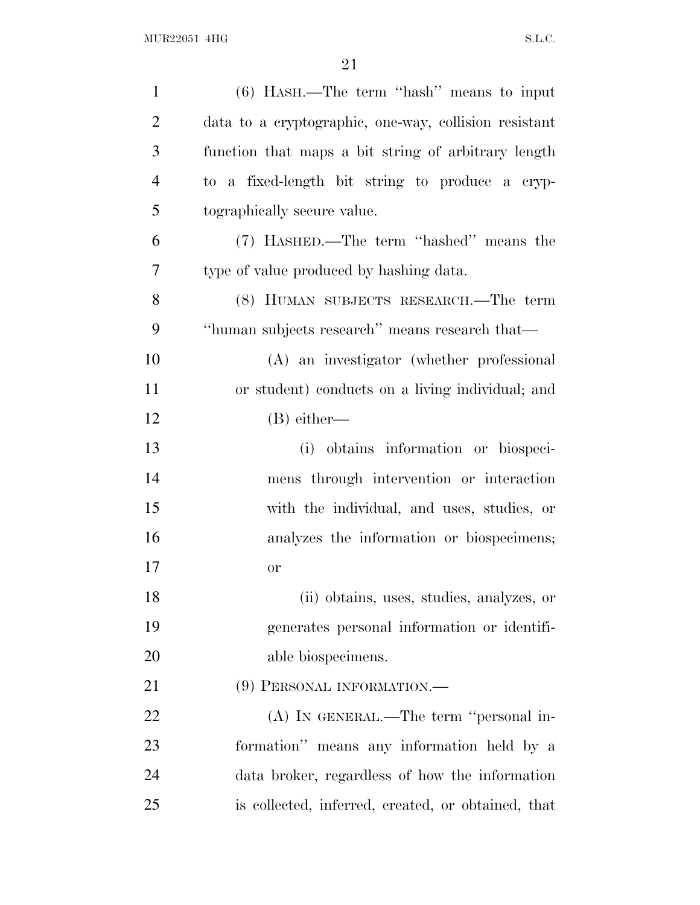| $\mathbf{1}$   | $(6)$ HASH.—The term "hash" means to input            |
|----------------|-------------------------------------------------------|
| $\overline{2}$ | data to a cryptographic, one-way, collision resistant |
| 3              | function that maps a bit string of arbitrary length   |
| $\overline{4}$ | to a fixed-length bit string to produce a cryp-       |
| 5              | tographically secure value.                           |
| 6              | (7) HASHED.—The term "hashed" means the               |
| 7              | type of value produced by hashing data.               |
| 8              | (8) HUMAN SUBJECTS RESEARCH.—The term                 |
| 9              | "human subjects research" means research that—        |
| 10             | (A) an investigator (whether professional             |
| 11             | or student) conducts on a living individual; and      |
| 12             | $(B)$ either—                                         |
| 13             | obtains information or biospeci-<br>(i)               |
| 14             | mens through intervention or interaction              |
| 15             | with the individual, and uses, studies, or            |
| 16             | analyzes the information or biospecimens;             |
| 17             | or                                                    |
| 18             | (ii) obtains, uses, studies, analyzes, or             |
| 19             | generates personal information or identifi-           |
| 20             | able biospecimens.                                    |
| 21             | (9) PERSONAL INFORMATION.—                            |
| 22             | (A) IN GENERAL.—The term "personal in-                |
| 23             | formation" means any information held by a            |
| 24             | data broker, regardless of how the information        |
| 25             | is collected, inferred, created, or obtained, that    |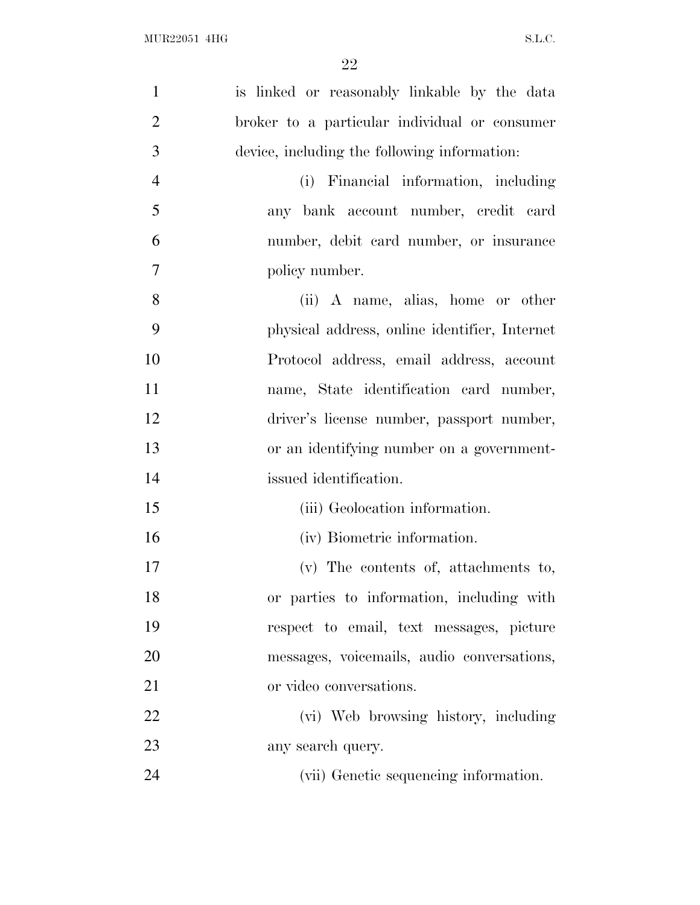| $\mathbf{1}$   | is linked or reasonably linkable by the data  |
|----------------|-----------------------------------------------|
| $\overline{2}$ | broker to a particular individual or consumer |
| 3              | device, including the following information:  |
| $\overline{4}$ | (i) Financial information, including          |
| 5              | any bank account number, credit card          |
| 6              | number, debit card number, or insurance       |
| $\tau$         | policy number.                                |
| 8              | (ii) A name, alias, home or other             |
| 9              | physical address, online identifier, Internet |
| 10             | Protocol address, email address, account      |
| 11             | name, State identification card number,       |
| 12             | driver's license number, passport number,     |
| 13             | or an identifying number on a government-     |
| 14             | issued identification.                        |
| 15             | (iii) Geolocation information.                |
| 16             | (iv) Biometric information.                   |
| 17             | (v) The contents of, attachments to,          |
| 18             | or parties to information, including with     |
| 19             | respect to email, text messages, picture      |
| 20             | messages, voicemails, audio conversations,    |
| 21             | or video conversations.                       |
| 22             | (vi) Web browsing history, including          |
| 23             | any search query.                             |
| 24             | (vii) Genetic sequencing information.         |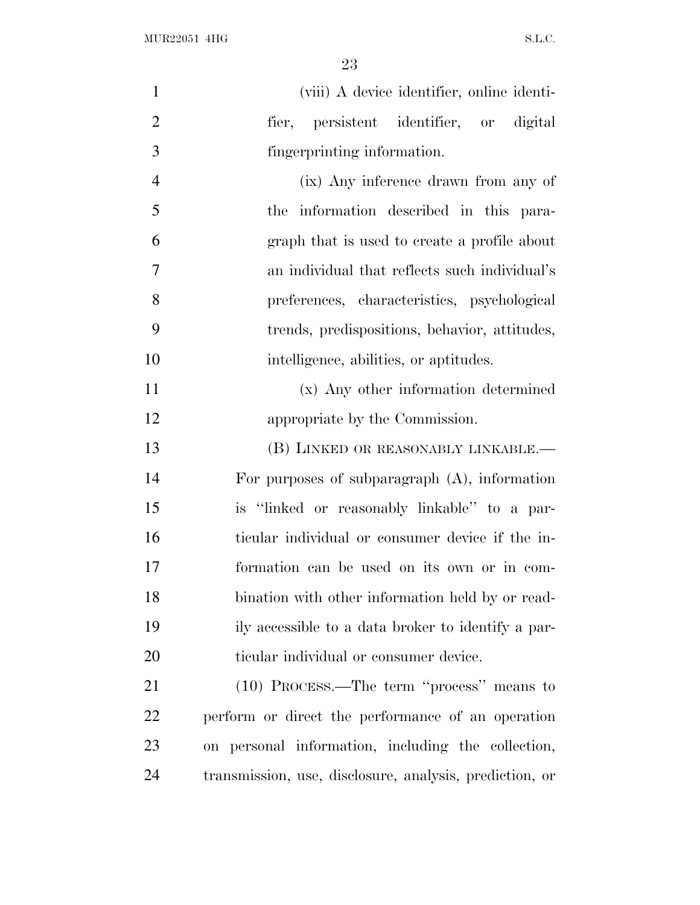| $\mathbf{1}$   | (viii) A device identifier, online identi-              |
|----------------|---------------------------------------------------------|
| $\overline{2}$ | fier, persistent identifier, or digital                 |
| 3              | fingerprinting information.                             |
| $\overline{4}$ | (ix) Any inference drawn from any of                    |
| 5              | the information described in this para-                 |
| 6              | graph that is used to create a profile about            |
| 7              | an individual that reflects such individual's           |
| 8              | preferences, characteristics, psychological             |
| 9              | trends, predispositions, behavior, attitudes,           |
| 10             | intelligence, abilities, or aptitudes.                  |
| 11             | (x) Any other information determined                    |
| 12             | appropriate by the Commission.                          |
| 13             | (B) LINKED OR REASONABLY LINKABLE.-                     |
| 14             | For purposes of subparagraph $(A)$ , information        |
| 15             | is "linked or reasonably linkable" to a par-            |
| 16             | ticular individual or consumer device if the in-        |
| 17             | formation can be used on its own or in com-             |
| 18             | bination with other information held by or read-        |
| 19             | ily accessible to a data broker to identify a par-      |
| 20             | ticular individual or consumer device.                  |
| 21             | (10) PROCESS.—The term "process" means to               |
| 22             | perform or direct the performance of an operation       |
| 23             | personal information, including the collection,<br>on   |
| 24             | transmission, use, disclosure, analysis, prediction, or |